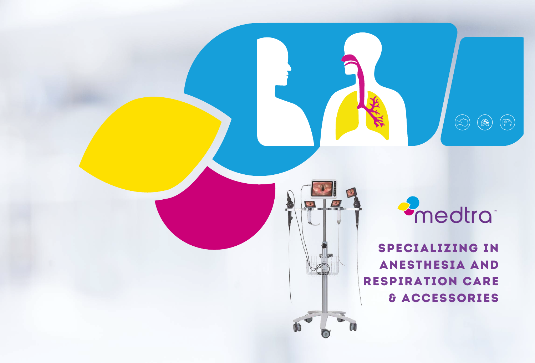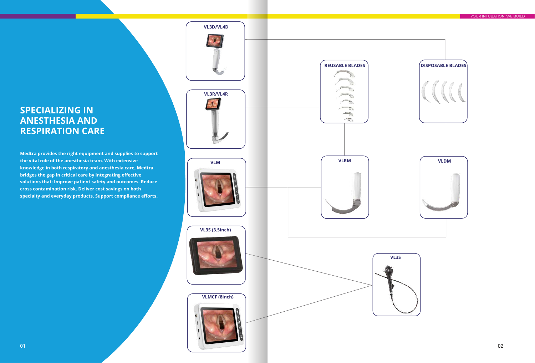**Medtra provides the right equipment and supplies to support the vital role of the anesthesia team. With extensive knowledge in both respiratory and anesthesia care, Medtra bridges the gap in critical care by integrating effective solutions that: Improve patient safety and outcomes. Reduce cross contamination risk. Deliver cost savings on both specialty and everyday products. Support compliance efforts.**

**VLM**

### **VL3D/VL4D**



**VL3S (3.5inch)**

**VLMCF (8inch)**

# **SPECIALIZING IN ANESTHESIA AND RESPIRATION CARE**



YOUR INTUBATION, WE BUILD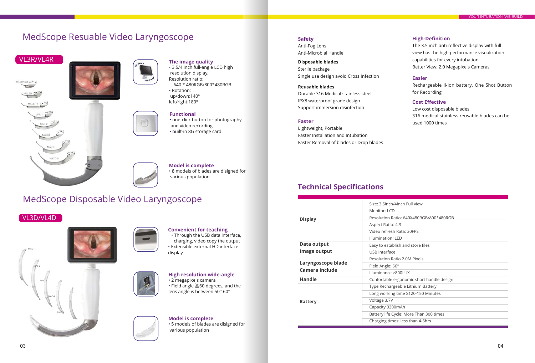# MedScope Disposable Video Laryngoscope











- 3.5/4 inch full-angle LCD high resolution display, Resolution ratio: 640 \* 480RGB/800\*480RGB
- Rotation: up/down:140º left/right:180º



• Through the USB data interface, charging, video copy the output • Extensible external HD interface display

• one-click button for photography and video recording • built-in 8G storage card





• 8 models of blades are disigned for various population

Anti-Fog Lens Anti-Microbial Handle

**Disposable blades** Sterile package Single use design avoid Cross Infection

### **Reusable blades**

Durable 316 Medical stainless steel IPX8 waterproof grade design Support immersion disinfection

Lightweight, Portable Faster Installation and Intubation Faster Removal of blades or Drop blades The 3.5 inch anti-reflective display with full view has the high performance visualization capabilities for every intubation Better View: 2.0 Megapixels Cameras

Rechargeable Ii-ion battery, One Shot Button for Recording

• 5 models of blades are disigned for various population **Model is complete**

|                                             | Size: 3.5inch/4inch Full view          |
|---------------------------------------------|----------------------------------------|
|                                             | Monitor: LCD                           |
| <b>Display</b>                              | Resolution Ratio: 640X480RGB/800*4     |
|                                             | Aspect Ratio: 4:3                      |
|                                             | Video refresh Rata: 30FPS              |
|                                             | Illumination: LED                      |
| Data output                                 | Easy to establish and store files      |
| Image output                                | USB interface                          |
|                                             | <b>Resolution Ratio 2.0M Pixels</b>    |
| Laryngoscope blade<br><b>Camera Include</b> | Field Angle: 66°                       |
|                                             | Illuminance ≥800LUX                    |
| <b>Handle</b>                               | Confortable ergonomic short handle     |
|                                             | Type Rechargeable Lithium Battery      |
|                                             | Long working time ≥120-150 Minutes     |
| <b>Battery</b>                              | Voltage 3.7V                           |
|                                             | Capacity 3200mAh                       |
|                                             | Battery life Cycle: More Than 300 time |
|                                             | Charging times: less than 4-6hrs       |

### **Cost Effective**

Low cost disposable blades 316 medical stainless reusable blades can be used 1000 times

| Size: 3.5inch/4inch Full view             |
|-------------------------------------------|
| <b>Monitor: LCD</b>                       |
| Resolution Ratio: 640X480RGB/800*480RGB   |
| Aspect Ratio: 4:3                         |
| Video refresh Rata: 30FPS                 |
| <b>Illumination: LED</b>                  |
| Easy to establish and store files         |
| <b>USB</b> interface                      |
| <b>Resolution Ratio 2.0M Pixels</b>       |
| Field Angle: 66°                          |
| Illuminance ≥800LUX                       |
| Confortable ergonomic short handle design |
| Type Rechargeable Lithium Battery         |
| Long working time ≥120-150 Minutes        |
| Voltage 3.7V                              |
| Capacity 3200mAh                          |
| Battery life Cycle: More Than 300 times   |
| Charging times: less than 4-6hrs          |

# MedScope Resuable Video Laryngoscope

### **Functional**

### **The image quality**

### **Model is complete**

### **High resolution wide-angle**

### **Faster**

### **Safety**

### **Easier**

### **High-Definition**

### VL3D/VL4D

## **Technical Specifications**



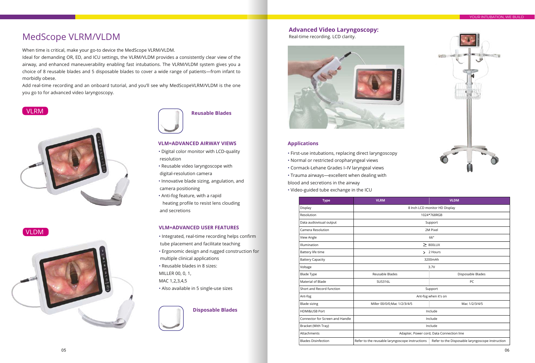



- Digital color monitor with LCD-quality resolution
- Reusable video laryngoscope with
- digital-resolution camera
- Innovative blade sizing, angulation, and camera positioning
- Anti-fog feature, with a rapid heating profile to resist lens clouding and secretions

• Integrated, real-time recording helps confirm tube placement and facilitate teaching • Ergonomic design and rugged construction for multiple clinical applications • Reusable blades in 8 sizes: MILLER 00, 0, 1, MAC 1,2,3,4,5 • Also available in 5 single-use sizes



### **Reusable Blades**

### **VLM=ADVANCED AIRWAY VIEWS**

### **VLM=ADVANCED USER FEATURES**

| <b>Type</b>                     | <b>VLRM</b>                                                                                         | <b>VLDM</b>                   |  |
|---------------------------------|-----------------------------------------------------------------------------------------------------|-------------------------------|--|
| Display                         |                                                                                                     | 8 Inch LCD monitor HD Display |  |
| Resolution                      |                                                                                                     | 1024*768RGB                   |  |
| Data audiovisual output         |                                                                                                     | Support                       |  |
| Camera Resolution               |                                                                                                     | 2M Pixel                      |  |
| View Angle                      |                                                                                                     | $66^\circ$                    |  |
| Illumination                    |                                                                                                     | $\geq$ 800LUX                 |  |
| Battery life time               |                                                                                                     | $> 2$ Hours                   |  |
| <b>Battery Capacity</b>         |                                                                                                     | 3200mAh                       |  |
| Voltage                         | 3.7V                                                                                                |                               |  |
| <b>Blade Type</b>               | Reusable Blades<br>Disposable Blades                                                                |                               |  |
| Material of Blade               | PC<br>SUS316L                                                                                       |                               |  |
| Short and Record function       | Support                                                                                             |                               |  |
| Ant-fog                         | Ant-fog when it's on                                                                                |                               |  |
| <b>Blade sizing</b>             | Mac 1/2/3/4/5<br>Miller 00/0/0; Mac 1/2/3/4/5                                                       |                               |  |
| HDMI&USB Port                   | Include                                                                                             |                               |  |
| Connector for Screen and Handle | Include                                                                                             |                               |  |
| Bracket (With Tray)             | Include                                                                                             |                               |  |
| Attachments                     | Adapter, Power cord, Data Connection line                                                           |                               |  |
| <b>Blades Disinfection</b>      | Refer to the reusable laryngoscope instructions<br>Refer to the Disposable laryngoscope instruction |                               |  |

When time is critical, make your go-to device the MedScope VLRM/VLDM.

Ideal for demanding OR, ED, and ICU settings, the VLRM/VLDM provides a consistently clear view of the airway, and enhanced maneuverability enabling fast intubations. The VLRM/VLDM system gives you a choice of 8 reusable blades and 5 disposable blades to cover a wide range of patients—from infant to morbidly obese.

Add real-time recording and an onboard tutorial, and you'll see why MedScopeVLRM/VLDM is the one you go to for advanced video laryngoscopy.

Real-time recording. LCD clarity.



### **Applications**

- First-use intubations, replacing direct laryngoscopy
- Normal or restricted oropharyngeal views
- Cormack-Lehane Grades I–IV laryngeal views
- Trauma airways—excellent when dealing with

blood and secretions in the airway

• Video-guided tube exchange in the ICU

### **Disposable Blades**

### VLRM



### **Advanced Video Laryngoscopy:**

# MedScope VLRM/VLDM

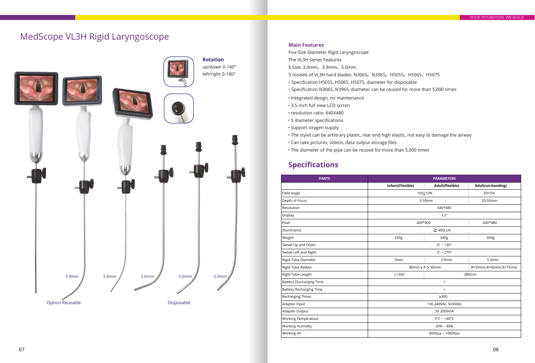| <b>PARTS</b>                    | <b>PARAMETERS</b>                |                          |                        |
|---------------------------------|----------------------------------|--------------------------|------------------------|
|                                 | Infant(Flexible)                 | Adult(flexible)          | Adult(un-bending)      |
| Field Angle                     |                                  | 100+10%                  | 60+5%                  |
| Depth of Focus                  |                                  | 3-50mm                   | 20-50mm                |
| Resolution                      |                                  | 640*480                  |                        |
| Display                         |                                  | 3.5"                     |                        |
| Pixel                           | 400*400                          |                          | 640*480                |
| Illuminance                     |                                  | $\geq$ 400LUX            |                        |
| Weight                          | 330g                             | 340g                     | 350g                   |
| Swivel Up and Down              | $0^\circ \sim 130^\circ$         |                          |                        |
| Swivel Left and Right           |                                  | $0^\circ \sim 270^\circ$ |                        |
| Rigid Tube Diameter             | 3mm                              | 3.9 <sub>mm</sub>        | 5.0 <sub>mm</sub>      |
| Rigid Tube Radian               |                                  | $80$ mm > R > 50mm       | R=55mm, R=65mm, R=75mm |
| Rigid Tube Length               | $L=300$                          |                          | 380mm                  |
| <b>Battery Discharging Time</b> | $\prime$                         |                          |                        |
| <b>Battery Recharging Time</b>  |                                  |                          |                        |
| <b>Recharging Times</b>         | >300                             |                          |                        |
| Adapter Input                   | 100-240VAC 50/60Hz               |                          |                        |
| Adapter Output                  | 5V 2000mA                        |                          |                        |
| <b>Working Temperature</b>      | $5^{\circ}$ C ~ +40 $^{\circ}$ C |                          |                        |
| <b>Working Humidity</b>         | $20\% - 80\%$                    |                          |                        |
| Working AP                      |                                  | 860hpa ~ 1060hpa         |                        |

# MedScope VL3H Rigid Laryngoscope



Five Size Diameter Rigid Laryngoscope The VL3H Series Features

- 5 Size: 3.0mm、3.9mm、5.0mm
- 5 models of VL3H hard blades: N3065、N3965、H5055、H5065、H5075
- Specification H5055, H5065, H5075, diameter for disposable
- Specification N3065, N3965, diameter can be reused for more than 5,000 times
- Integrated design, no maintenance
- 3.5-inch full view LCD scrren
- resolution ratio: 640X480
- 5 diameter specifications
- support oxygen supply
- The stylet can be arbitrary plastic, rear end high elastic, not easy to damage the airway
- Can take pictures, videos, data output storage files
- The diameter of the pipe can be reused for more than 5,000 times

## **Specifications**

### **Main Features**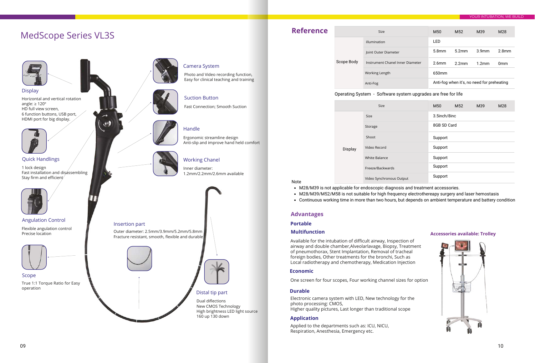Horizontal and vertical rotation angle: ≥ 120º HD full view screen, 6 function buttons, USB port, HDMI port for big display.

1 lock design Fast installation and disassembling Stay firm and efficient



Inner diameter: 1.2mm/2.2mm/2.6mm available

Fast Connection; Smooth Suction

Photo and Video recording function, Easy for clinical teaching and training

Ergonomic streamline design

Anti-slip and improve hand held comfort

Display



Quick Handlings

Handle

Suction Button

### Working Chanel

Camera System

# MedScope Series VL3S

 $\leftrightarrow$ 



Size

Applied to the departments such as: ICU, NICU, Respiration, Anesthesia, Emergency etc.

Available for the intubation of difficult airway, Inspection of airway and double chamber,Alveolarlavage, Biopsy, Treatment of pneumothorax, Stent Implantation, Removal of tracheal foreign bodies, Other treatments for the bronchi, Such as Local radiotherapy and chemotherapy, Medication Injection

Electronic camera system with LED, New technology for the photo processing: CMOS, Higher quality pictures, Last longer than traditional scope

One screen for four scopes, Four working channel sizes for option

### **Accessories available: Trolley**

- 
- 
- 
- 



| Scope Body | illumination                     |
|------------|----------------------------------|
|            | Joint Outer Diameter             |
|            | Instrument Chanel Inner Diameter |
|            | Working Length                   |
|            | Anti-Fog                         |

Flexible angulation control Precise location



True 1:1 Torque Ratio for Easy operation Scope











Angulation Control

Continuous working time in more than two hours, but depends on ambient temperature and battery condition

Note

- M28/M39 is not applicable for endoscopic diagnosis and treatment accessories.
- 
- 

### **Portable**

### **Economic**

### **Application**

### **Multifunction**

# **Reference**

|            | M <sub>50</sub>   | M52   | M39                                        | M <sub>28</sub>   |
|------------|-------------------|-------|--------------------------------------------|-------------------|
|            | LED               |       |                                            |                   |
|            | 5.8mm             |       | 5.2mm 3.9mm                                | 2.8 <sub>mm</sub> |
| r Diameter | 2.6 <sub>mm</sub> | 2.2mm | 1.2 <sub>mm</sub>                          | 0 <sub>mm</sub>   |
|            | 650mm             |       |                                            |                   |
|            |                   |       | Anti-fog when it's, no need for preheating |                   |

|         | Size                     |
|---------|--------------------------|
|         | Size                     |
|         | Storage                  |
| Display | Shoot                    |
|         | Video Record             |
|         | <b>White Balance</b>     |
|         | Freeze/Backwards         |
|         | Video Synchronous Output |

|     | M50          | M <sub>52</sub> | M39 | M28 |
|-----|--------------|-----------------|-----|-----|
|     | 3.5inch/8inc |                 |     |     |
|     | 8GB SD Card  |                 |     |     |
|     | Support      |                 |     |     |
|     | Support      |                 |     |     |
|     | Support      |                 |     |     |
|     | Support      |                 |     |     |
| յut | Support      |                 |     |     |

• M28/M39/M52/M58 is not suitable for high frequency electrothereapy surgery and laser hemostasis

### Operating System - Software system upgrades are free for life

### **Advantages**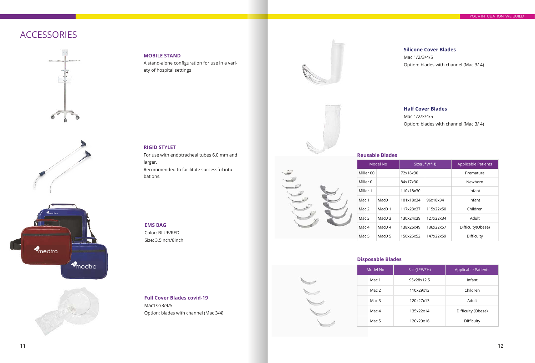

| odel No | Size(L*W*H) | <b>Applicable Patients</b> |
|---------|-------------|----------------------------|
| Mac 1   | 95x28x12.5  | Infant                     |
| Mac 2   | 110x29x13   | Children                   |
| Mac 3   | 120x27x13   | Adult                      |
| Mac 4   | 135x22x14   | Difficulty (Obese)         |
| Mac 5   | 120x29x16   | Difficulty                 |

|           | Model No          |           | Size(L*W*H) | <b>Applicable Patients</b> |
|-----------|-------------------|-----------|-------------|----------------------------|
| Miller 00 |                   | 72x16x30  |             | Premature                  |
| Miller 0  |                   | 84x17x30  |             | Newborn                    |
| Miller 1  |                   | 110x18x30 |             | Infant                     |
| Mac 1     | MacD              | 101x18x34 | 96x18x34    | Infant                     |
| Mac 2     | MacD 1            | 117x23x37 | 115x22x50   | Children                   |
| Mac 3     | MacD <sub>3</sub> | 130x24x39 | 127x22x34   | Adult                      |
| Mac 4     | MacD $4$          | 138x26x49 | 136x22x57   | Difficulty(Obese)          |
| Mac 5     | MacD 5            | 150x25x52 | 147x22x59   | Difficulty                 |

Mac1/2/3/4/5 Option: blades with channel (Mac 3/4) **Full Cover Blades covid-19**





For use with endotracheal tubes 6,0 mm and larger.

Recommended to facilitate successful intubations.

Color: BLUE/RED Size: 3.5inch/8inch **EMS BAG**

A stand-alone configuration for use in a variety of hospital settings

> Mac 1/2/3/4/5 Option: blades with channel (Mac 3/ 4)

### **Silicone Cover Blades**

Mac 1/2/3/4/5 Option: blades with channel (Mac 3/ 4)

### **RIGID STYLET**

### **MOBILE STAND**

### **Half Cover Blades**

# ACCESSORIES









### **Disposable Blades**

### **Reusable Blades**

|                  | Model No          |                |
|------------------|-------------------|----------------|
| Miller 00        |                   | 72             |
| Miller 0         |                   | 84             |
| Miller 1         |                   | 11             |
| Mac 1            | MacD              | 1 <sup>1</sup> |
| Mac <sub>2</sub> | MacD 1            | 11             |
| Mac <sub>3</sub> | MacD <sub>3</sub> | 1 <sup>5</sup> |
| Mac <sub>4</sub> | MacD <sub>4</sub> | 1 <sup>5</sup> |
| Mac 5            | MacD 5            | 15             |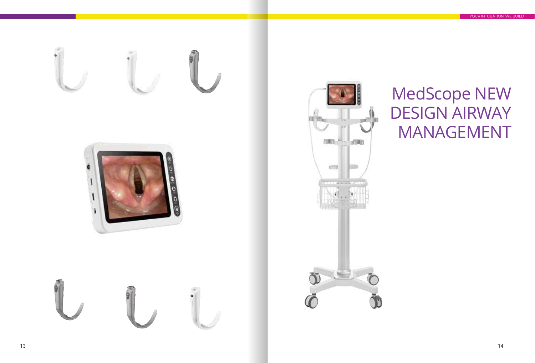# MedScope NEW DESIGN AIRWAY MANAGEMENT

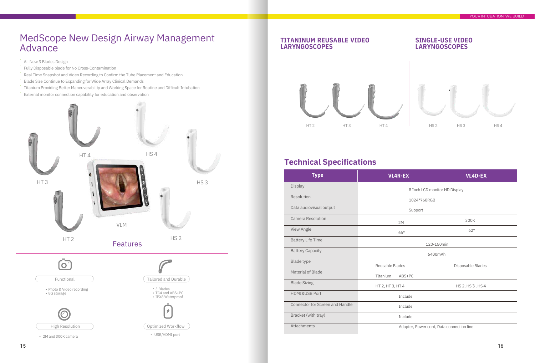

# MedScope New Design Airway Management **Advance**

- All New 3 Blades Design ·
- Fully Disposable blade for No Cross-Contamination ·
- Real Time Snapshot and Video Recording to Confirm the Tube Placement and Education ·
- Blade Size Continue to Expanding for Wide Array Clinical Demands ·
- Titanium Providing Better Maneuverability and Working Space for Routine and Difficult Intubation ·
- External monitor connection capability for education and observation ·

| <b>Type</b>                            | <b>VL4R-EX</b>                            | <b>VL4D-EX</b>                |  |
|----------------------------------------|-------------------------------------------|-------------------------------|--|
| Display                                |                                           | 8 Inch LCD monitor HD Display |  |
| Resolution                             | 1024*768RGB                               |                               |  |
| Data audiovisual output                | Support                                   |                               |  |
| Camera Resolution                      | 2M                                        | 300K                          |  |
| View Angle                             | 66°                                       | 62°                           |  |
| <b>Battery Life Time</b>               | 120-150min                                |                               |  |
| <b>Battery Capacity</b>                | 6400mAh                                   |                               |  |
| <b>Blade type</b>                      | Reusable Blades<br>Disposable Blades      |                               |  |
| Material of Blade                      | Tltanium<br>ABS+PC                        |                               |  |
| <b>Blade Sizing</b>                    | HT 2, HT 3, HT 4                          | HS 2, HS 3, HS 4              |  |
| HDMI&USB Port                          | Include                                   |                               |  |
| <b>Connector for Screen and Handle</b> | Include                                   |                               |  |
| Bracket (with tray)                    | Include                                   |                               |  |
| Attachments                            | Adapter, Power cord, Data connection line |                               |  |

### **TITANINUM REUSABLE VIDEO LARYNGOSCOPES**

### **SINGLE-USE VIDEO LARYNGOSCOPES**



# **Technical Specifications**